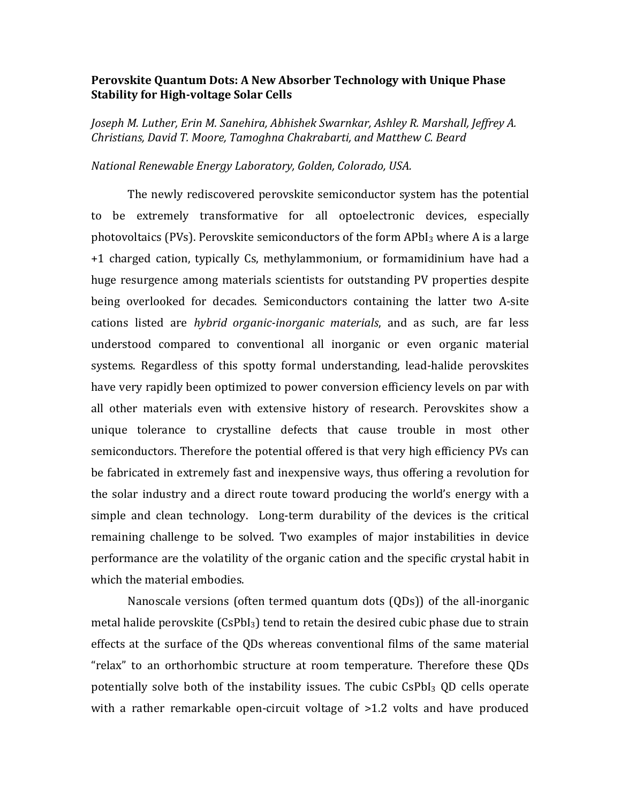## **Perovskite Quantum Dots: A New Absorber Technology with Unique Phase Stability for High-voltage Solar Cells**

*Joseph M. Luther, Erin M. Sanehira, Abhishek Swarnkar, Ashley R. Marshall, Jeffrey A. Christians, David T. Moore, Tamoghna Chakrabarti, and Matthew C. Beard*

*National Renewable Energy Laboratory, Golden, Colorado, USA.*

The newly rediscovered perovskite semiconductor system has the potential to be extremely transformative for all optoelectronic devices, especially photovoltaics (PVs). Perovskite semiconductors of the form APbI<sub>3</sub> where A is a large +1 charged cation, typically Cs, methylammonium, or formamidinium have had a huge resurgence among materials scientists for outstanding PV properties despite being overlooked for decades. Semiconductors containing the latter two A-site cations listed are *hybrid organic-inorganic materials*, and as such, are far less understood compared to conventional all inorganic or even organic material systems. Regardless of this spotty formal understanding, lead-halide perovskites have very rapidly been optimized to power conversion efficiency levels on par with all other materials even with extensive history of research. Perovskites show a unique tolerance to crystalline defects that cause trouble in most other semiconductors. Therefore the potential offered is that very high efficiency PVs can be fabricated in extremely fast and inexpensive ways, thus offering a revolution for the solar industry and a direct route toward producing the world's energy with a simple and clean technology. Long-term durability of the devices is the critical remaining challenge to be solved. Two examples of major instabilities in device performance are the volatility of the organic cation and the specific crystal habit in which the material embodies.

Nanoscale versions (often termed quantum dots (QDs)) of the all-inorganic metal halide perovskite (CsPbI3) tend to retain the desired cubic phase due to strain effects at the surface of the QDs whereas conventional films of the same material "relax" to an orthorhombic structure at room temperature. Therefore these QDs potentially solve both of the instability issues. The cubic CsPbI<sub>3</sub> OD cells operate with a rather remarkable open-circuit voltage of >1.2 volts and have produced